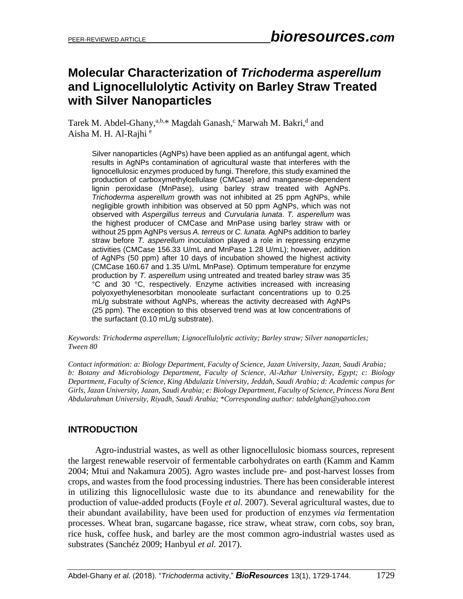# **Molecular Characterization of** *Trichoderma asperellum* **and Lignocellulolytic Activity on Barley Straw Treated with Silver Nanoparticles**

Tarek M. Abdel-Ghany,<sup>a,b,\*</sup> Magdah Ganash,<sup>c</sup> Marwah M. Bakri,<sup>d</sup> and Aisha M. H. Al-Rajhi<sup>e</sup>

Silver nanoparticles (AgNPs) have been applied as an antifungal agent, which results in AgNPs contamination of agricultural waste that interferes with the lignocellulosic enzymes produced by fungi. Therefore, this study examined the production of carboxymethylcellulase (CMCase) and manganese-dependent lignin peroxidase (MnPase), using barley straw treated with AgNPs. *Trichoderma asperellum* growth was not inhibited at 25 ppm AgNPs, while negligible growth inhibition was observed at 50 ppm AgNPs, which was not observed with *Aspergillus terreus* and *Curvularia lunata*. *T. asperellum* was the highest producer of CMCase and MnPase using barley straw with or without 25 ppm AgNPs versus *A. terreus* or *C. lunata.* AgNPs addition to barley straw before *T. asperellum* inoculation played a role in repressing enzyme activities (CMCase 156.33 U/mL and MnPase 1.28 U/mL); however, addition of AgNPs (50 ppm) after 10 days of incubation showed the highest activity (CMCase 160.67 and 1.35 U/mL MnPase). Optimum temperature for enzyme production by *T. asperellum* using untreated and treated barley straw was 35 °C and 30 °C, respectively. Enzyme activities increased with increasing polyoxyethylenesorbitan monooleate surfactant concentrations up to 0.25 mL/g substrate without AgNPs, whereas the activity decreased with AgNPs (25 ppm). The exception to this observed trend was at low concentrations of the surfactant (0.10 mL/g substrate).

*Keywords: Trichoderma asperellum; Lignocellulolytic activity; Barley straw; Silver nanoparticles; Tween 80*

*Contact information: a: Biology Department, Faculty of Science, Jazan University, Jazan, Saudi Arabia; b: Botany and Microbiology Department, Faculty of Science, Al-Azhar University, Egypt; c: Biology Department, Faculty of Science, King Abdulaziz University, Jeddah, Saudi Arabia; d: Academic campus for Girls, Jazan University, Jazan, Saudi Arabia; e: Biology Department, Faculty of Science, Princess Nora Bent Abdularahman University, Riyadh, Saudi Arabia; \*Corresponding author: [tabdelghan@yahoo.com](mailto:tabdelghan@yahoo.com)*

# **INTRODUCTION**

Agro-industrial wastes, as well as other lignocellulosic biomass sources, represent the largest renewable reservoir of fermentable carbohydrates on earth (Kamm and Kamm 2004; Mtui and Nakamura 2005). Agro wastes include pre- and post-harvest losses from crops, and wastes from the food processing industries. There has been considerable interest in utilizing this lignocellulosic waste due to its abundance and renewability for the production of value-added products (Foyle *et al.* 2007). Several agricultural wastes, due to their abundant availability, have been used for production of enzymes *via* fermentation processes. Wheat bran, sugarcane bagasse, rice straw, wheat straw, corn cobs, soy bran, rice husk, coffee husk, and barley are the most common agro-industrial wastes used as substrates (Sanchéz 2009; Hanbyul *et al.* 2017).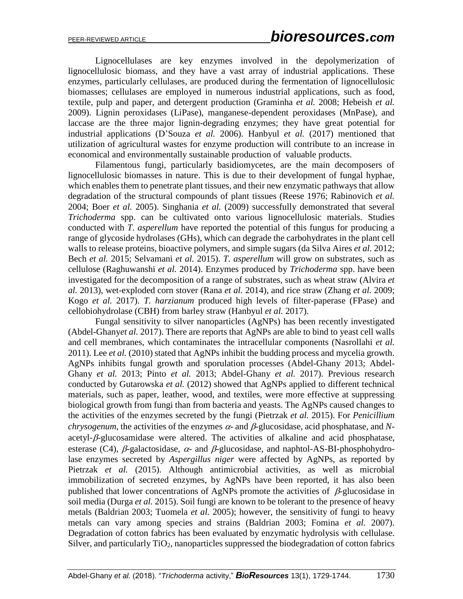Lignocellulases are key enzymes involved in the depolymerization of lignocellulosic biomass, and they have a vast array of industrial applications. These enzymes, particularly cellulases, are produced during the fermentation of lignocellulosic biomasses; cellulases are employed in numerous industrial applications, such as food, textile, pulp and paper, and detergent production (Graminha *et al.* 2008; Hebeish *et al.* 2009). Lignin peroxidases (LiPase), manganese-dependent peroxidases (MnPase), and laccase are the three major lignin-degrading enzymes; they have great potential for industrial applications (D'Souza *et al.* 2006). Hanbyul *et al.* (2017) mentioned that utilization of agricultural wastes for enzyme production will contribute to an increase in economical and environmentally sustainable production of valuable products.

Filamentous fungi, particularly basidiomycetes, are the main decomposers of lignocellulosic biomasses in nature. This is due to their development of fungal hyphae, which enables them to penetrate plant tissues, and their new enzymatic pathways that allow degradation of the structural compounds of plant tissues (Reese 1976; Rabinovich *et al.* 2004; Boer *et al.* 2005). Singhania *et al.* (2009) successfully demonstrated that several *Trichoderma* spp. can be cultivated onto various lignocellulosic materials. Studies conducted with *T. asperellum* have reported the potential of this fungus for producing a range of glycoside hydrolases (GHs), which can degrade the carbohydrates in the plant cell walls to release proteins, bioactive polymers, and simple sugars (da Silva Aires *et al.* 2012; Bech *et al.* 2015; Selvamani *et al.* 2015). *T. asperellum* will grow on substrates, such as cellulose (Raghuwanshi *et al.* 2014). Enzymes produced by *Trichoderma* spp. have been investigated for the decomposition of a range of substrates, such as wheat straw (Alvira *et al.* 2013), wet-exploded corn stover (Rana *et al.* 2014), and rice straw (Zhang *et al.* 2009; Kogo *et al.* 2017). *T. harzianum* produced high levels of filter-paperase (FPase) and cellobiohydrolase (CBH) from barley straw (Hanbyul *et al.* 2017).

Fungal sensitivity to silver nanoparticles (AgNPs) has been recently investigated (Abdel-Ghany*et al.* 2017). There are reports that AgNPs are able to bind to yeast cell walls and cell membranes, which contaminates the intracellular components (Nasrollahi *et al.* 2011). Lee *et al.* (2010) stated that AgNPs inhibit the budding process and mycelia growth. AgNPs inhibits fungal growth and sporulation processes (Abdel-Ghany 2013; Abdel-Ghany *et al.* 2013; Pinto *et al.* 2013; Abdel-Ghany *et al.* 2017). Previous research conducted by Gutarowska *et al.* (2012) showed that AgNPs applied to different technical materials, such as paper, leather, wood, and textiles, were more effective at suppressing biological growth from fungi than from bacteria and yeasts. The AgNPs caused changes to the activities of the enzymes secreted by the fungi (Pietrzak *et al.* 2015). For *Penicillium chrysogenum*, the activities of the enzymes  $\alpha$ - and  $\beta$ -glucosidase, acid phosphatase, and *N* $a$ cetyl- $\beta$ -glucosamidase were altered. The activities of alkaline and acid phosphatase, esterase (C4),  $\beta$ -galactosidase,  $\alpha$ - and  $\beta$ -glucosidase, and naphtol-AS-BI-phosphohydrolase enzymes secreted by *Aspergillus niger* were affected by AgNPs, as reported by Pietrzak *et al.* (2015). Although antimicrobial activities, as well as microbial immobilization of secreted enzymes, by AgNPs have been reported, it has also been published that lower concentrations of AgNPs promote the activities of  $\beta$ -glucosidase in soil media (Durga *et al.* 2015). Soil fungi are known to be tolerant to the presence of heavy metals (Baldrian 2003; Tuomela *et al.* 2005); however, the sensitivity of fungi to heavy metals can vary among species and strains (Baldrian 2003; Fomina *et al.* 2007). Degradation of cotton fabrics has been evaluated by enzymatic hydrolysis with cellulase. Silver, and particularly  $TiO<sub>2</sub>$ , nanoparticles suppressed the biodegradation of cotton fabrics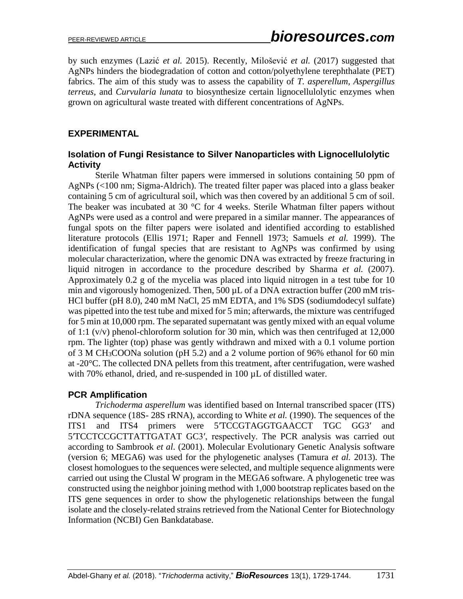by such enzymes (Lazić *et al.* 2015). Recently, Milošević *et al.* (2017) suggested that AgNPs hinders the biodegradation of cotton and cotton/polyethylene terephthalate (PET) fabrics. The aim of this study was to assess the capability of *T. asperellum, Aspergillus terreus*, and *Curvularia lunata* to biosynthesize certain lignocellulolytic enzymes when grown on agricultural waste treated with different concentrations of AgNPs.

#### **EXPERIMENTAL**

#### **Isolation of Fungi Resistance to Silver Nanoparticles with Lignocellulolytic Activity**

Sterile Whatman filter papers were immersed in solutions containing 50 ppm of AgNPs (<100 nm; Sigma-Aldrich). The treated filter paper was placed into a glass beaker containing 5 cm of agricultural soil, which was then covered by an additional 5 cm of soil. The beaker was incubated at 30 °C for 4 weeks. Sterile Whatman filter papers without AgNPs were used as a control and were prepared in a similar manner. The appearances of fungal spots on the filter papers were isolated and identified according to established literature protocols (Ellis 1971; Raper and Fennell 1973; Samuels *et al.* 1999). The identification of fungal species that are resistant to AgNPs was confirmed by using molecular characterization, where the genomic DNA was extracted by freeze fracturing in liquid nitrogen in accordance to the procedure described by Sharma *et al.* (2007). Approximately 0.2 g of the mycelia was placed into liquid nitrogen in a test tube for 10 min and vigorously homogenized. Then, 500  $\mu$ L of a DNA extraction buffer (200 mM tris-HCl buffer (pH 8.0), 240 mM NaCl, 25 mM EDTA, and 1% SDS (sodiumdodecyl sulfate) was pipetted into the test tube and mixed for 5 min; afterwards, the mixture was centrifuged for 5 min at 10,000 rpm. The separated supernatant was gently mixed with an equal volume of 1:1 (v/v) phenol-chloroform solution for 30 min, which was then centrifuged at 12,000 rpm. The lighter (top) phase was gently withdrawn and mixed with a 0.1 volume portion of 3 M CH3COONa solution (pH 5.2) and a 2 volume portion of 96% ethanol for 60 min at -20°C. The collected DNA pellets from this treatment, after centrifugation, were washed with 70% ethanol, dried, and re-suspended in 100  $\mu$ L of distilled water.

# **PCR Amplification**

*Trichoderma asperellum* was identified based on Internal transcribed spacer (ITS) rDNA sequence (18S- 28S rRNA), according to White *et al.* (1990). The sequences of the ITS1 and ITS4 primers were 5′TCCGTAGGTGAACCT TGC GG3′ and 5′TCCTCCGCTTATTGATAT GC3′, respectively. The PCR analysis was carried out according to Sambrook *et al*. (2001). Molecular Evolutionary Genetic Analysis software (version 6; MEGA6) was used for the phylogenetic analyses (Tamura *et al.* 2013). The closest homologues to the sequences were selected, and multiple sequence alignments were carried out using the Clustal W program in the MEGA6 software. A phylogenetic tree was constructed using the neighbor joining method with 1,000 bootstrap replicates based on the ITS gene sequences in order to show the phylogenetic relationships between the fungal isolate and the closely-related strains retrieved from the National Center for Biotechnology Information (NCBI) Gen Bankdatabase.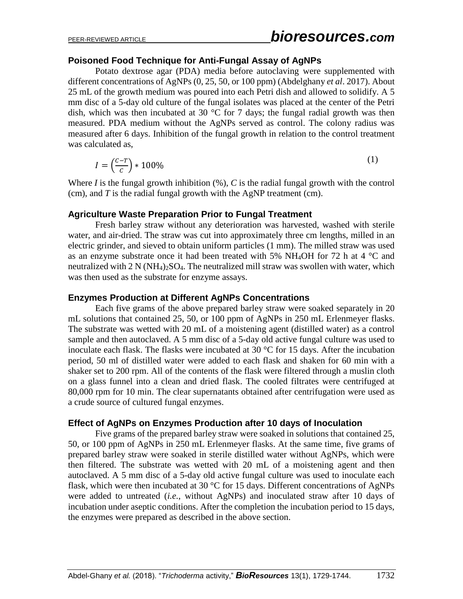#### **Poisoned Food Technique for Anti-Fungal Assay of AgNPs**

Potato dextrose agar (PDA) media before autoclaving were supplemented with different concentrations of AgNPs (0, 25, 50, or 100 ppm) (Abdelghany *et al*. 2017). About 25 mL of the growth medium was poured into each Petri dish and allowed to solidify. A 5 mm disc of a 5-day old culture of the fungal isolates was placed at the center of the Petri dish, which was then incubated at 30  $\degree$ C for 7 days; the fungal radial growth was then measured. PDA medium without the AgNPs served as control. The colony radius was measured after 6 days. Inhibition of the fungal growth in relation to the control treatment was calculated as,

$$
I = \left(\frac{c - T}{c}\right) * 100\%
$$
\n<sup>(1)</sup>

Where *I* is the fungal growth inhibition (%), *C* is the radial fungal growth with the control (cm), and *T* is the radial fungal growth with the AgNP treatment (cm).

#### **Agriculture Waste Preparation Prior to Fungal Treatment**

Fresh barley straw without any deterioration was harvested, washed with sterile water, and air-dried. The straw was cut into approximately three cm lengths, milled in an electric grinder, and sieved to obtain uniform particles (1 mm). The milled straw was used as an enzyme substrate once it had been treated with 5% NH<sub>4</sub>OH for 72 h at 4  $^{\circ}$ C and neutralized with  $2 \text{ N} (\text{NH}_4)_2\text{SO}_4$ . The neutralized mill straw was swollen with water, which was then used as the substrate for enzyme assays.

#### **Enzymes Production at Different AgNPs Concentrations**

Each five grams of the above prepared barley straw were soaked separately in 20 mL solutions that contained 25, 50, or 100 ppm of AgNPs in 250 mL Erlenmeyer flasks. The substrate was wetted with 20 mL of a moistening agent (distilled water) as a control sample and then autoclaved. A 5 mm disc of a 5-day old active fungal culture was used to inoculate each flask. The flasks were incubated at 30 °C for 15 days. After the incubation period, 50 ml of distilled water were added to each flask and shaken for 60 min with a shaker set to 200 rpm. All of the contents of the flask were filtered through a muslin cloth on a glass funnel into a clean and dried flask. The cooled filtrates were centrifuged at 80,000 rpm for 10 min. The clear supernatants obtained after centrifugation were used as a crude source of cultured fungal enzymes.

#### **Effect of AgNPs on Enzymes Production after 10 days of Inoculation**

Five grams of the prepared barley straw were soaked in solutions that contained 25, 50, or 100 ppm of AgNPs in 250 mL Erlenmeyer flasks. At the same time, five grams of prepared barley straw were soaked in sterile distilled water without AgNPs, which were then filtered. The substrate was wetted with 20 mL of a moistening agent and then autoclaved. A 5 mm disc of a 5-day old active fungal culture was used to inoculate each flask, which were then incubated at 30 °C for 15 days. Different concentrations of AgNPs were added to untreated (*i.e.*, without AgNPs) and inoculated straw after 10 days of incubation under aseptic conditions. After the completion the incubation period to 15 days, the enzymes were prepared as described in the above section.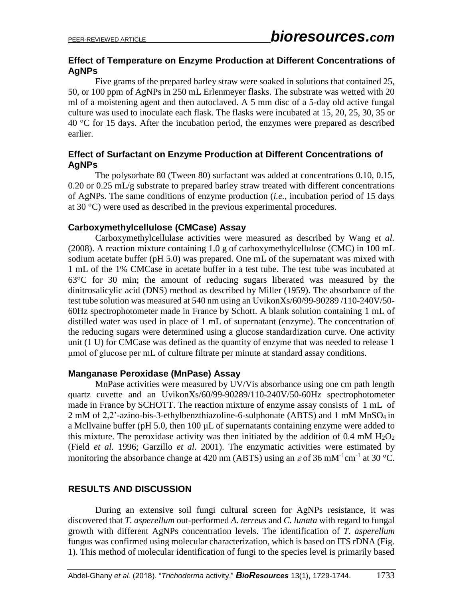#### **Effect of Temperature on Enzyme Production at Different Concentrations of AgNPs**

Five grams of the prepared barley straw were soaked in solutions that contained 25, 50, or 100 ppm of AgNPs in 250 mL Erlenmeyer flasks. The substrate was wetted with 20 ml of a moistening agent and then autoclaved. A 5 mm disc of a 5-day old active fungal culture was used to inoculate each flask. The flasks were incubated at 15, 20, 25, 30, 35 or 40 °C for 15 days. After the incubation period, the enzymes were prepared as described earlier.

#### **Effect of Surfactant on Enzyme Production at Different Concentrations of AgNPs**

The polysorbate 80 (Tween 80) surfactant was added at concentrations 0.10, 0.15, 0.20 or 0.25 mL/g substrate to prepared barley straw treated with different concentrations of AgNPs. The same conditions of enzyme production (*i.e.*, incubation period of 15 days at 30 °C) were used as described in the previous experimental procedures.

#### **Carboxymethylcellulose (CMCase) Assay**

Carboxymethylcellulase activities were measured as described by Wang *et al.* (2008). A reaction mixture containing 1.0 g of carboxymethylcellulose (CMC) in 100 mL sodium acetate buffer (pH 5.0) was prepared. One mL of the supernatant was mixed with 1 mL of the 1% CMCase in acetate buffer in a test tube. The test tube was incubated at 63°C for 30 min; the amount of reducing sugars liberated was measured by the dinitrosalicylic acid (DNS) method as described by Miller (1959). The absorbance of the test tube solution was measured at 540 nm using an UvikonXs/60/99-90289 /110-240V/50- 60Hz spectrophotometer made in France by Schott. A blank solution containing 1 mL of distilled water was used in place of 1 mL of supernatant (enzyme). The concentration of the reducing sugars were determined using a glucose standardization curve. One activity unit (1 U) for CMCase was defined as the quantity of enzyme that was needed to release 1 μmol of glucose per mL of culture filtrate per minute at standard assay conditions.

#### **Manganase Peroxidase (MnPase) Assay**

MnPase activities were measured by UV/Vis absorbance using one cm path length quartz cuvette and an UvikonXs/60/99-90289/110-240V/50-60Hz spectrophotometer made in France by SCHOTT. The reaction mixture of enzyme assay consists of 1 mL of 2 mM of 2,2'-azino-bis-3-ethylbenzthiazoline-6-sulphonate (ABTS) and 1 mM MnSO<sup>4</sup> in a Mcllvaine buffer (pH 5.0, then 100  $\mu$ L of supernatants containing enzyme were added to this mixture. The peroxidase activity was then initiated by the addition of  $0.4 \text{ mM } H_2O_2$ (Field *et al.* 1996; Garzillo *et al.* 2001). The enzymatic activities were estimated by monitoring the absorbance change at 420 nm (ABTS) using an  $\varepsilon$  of 36 mM<sup>-1</sup>cm<sup>-1</sup> at 30 °C.

#### **RESULTS AND DISCUSSION**

During an extensive soil fungi cultural screen for AgNPs resistance, it was discovered that *T. asperellum* out-performed *A. terreus* and *C. lunata* with regard to fungal growth with different AgNPs concentration levels. The identification of *T. asperellum* fungus was confirmed using molecular characterization, which is based on ITS rDNA (Fig. 1). This method of molecular identification of fungi to the species level is primarily based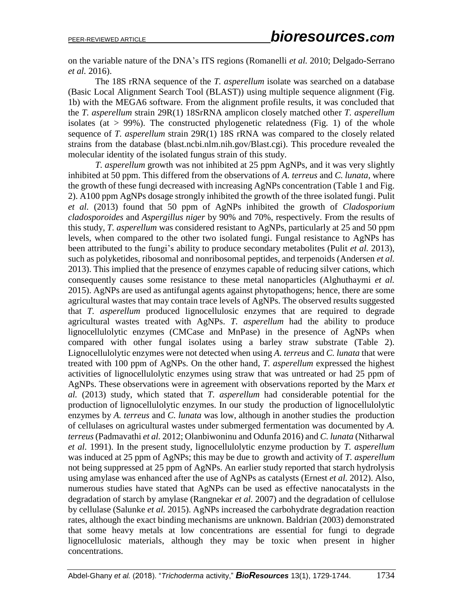on the variable nature of the DNA's ITS regions (Romanelli *et al.* 2010; Delgado-Serrano *et al.* 2016).

The 18S rRNA sequence of the *T. asperellum* isolate was searched on a database (Basic Local Alignment Search Tool (BLAST)) using multiple sequence alignment (Fig. 1b) with the MEGA6 software. From the alignment profile results, it was concluded that the *T. asperellum* strain 29R(1) 18SrRNA amplicon closely matched other *T. asperellum* isolates (at  $> 99\%$ ). The constructed phylogenetic relatedness (Fig. 1) of the whole sequence of *T. asperellum* strain 29R(1) 18S rRNA was compared to the closely related strains from the database (blast.ncbi.nlm.nih.gov/Blast.cgi). This procedure revealed the molecular identity of the isolated fungus strain of this study.

*T. asperellum* growth was not inhibited at 25 ppm AgNPs, and it was very slightly inhibited at 50 ppm. This differed from the observations of *A. terreus* and *C. lunata*, where the growth of these fungi decreased with increasing AgNPs concentration (Table 1 and Fig. 2). A100 ppm AgNPs dosage strongly inhibited the growth of the three isolated fungi. Pulit *et al.* (2013) found that 50 ppm of AgNPs inhibited the growth of *Cladosporium cladosporoides* and *Aspergillus niger* by 90% and 70%, respectively. From the results of this study, *T. asperellum* was considered resistant to AgNPs, particularly at 25 and 50 ppm levels, when compared to the other two isolated fungi. Fungal resistance to AgNPs has been attributed to the fungi's ability to produce secondary metabolites (Pulit *et al.* 2013), such as polyketides, ribosomal and nonribosomal peptides, and terpenoids (Andersen *et al.* 2013). This implied that the presence of enzymes capable of reducing silver cations, which consequently causes some resistance to these metal nanoparticles (Alghuthaymi *et al.* 2015). AgNPs are used as antifungal agents against phytopathogens; hence, there are some agricultural wastes that may contain trace levels of AgNPs. The observed results suggested that *T. asperellum* produced lignocellulosic enzymes that are required to degrade agricultural wastes treated with AgNPs. *T. asperellum* had the ability to produce lignocellulolytic enzymes (CMCase and MnPase) in the presence of AgNPs when compared with other fungal isolates using a barley straw substrate (Table 2). Lignocellulolytic enzymes were not detected when using *A. terreus* and *C. lunata* that were treated with 100 ppm of AgNPs. On the other hand, *T. asperellum* expressed the highest activities of lignocellulolytic enzymes using straw that was untreated or had 25 ppm of AgNPs. These observations were in agreement with observations reported by the Marx *et al.* (2013) study, which stated that *T. asperellum* had considerable potential for the production of lignocellulolytic enzymes. In our study the production of lignocellulolytic enzymes by *A. terreus* and *C. lunata* was low, although in another studies the production of cellulases on agricultural wastes under submerged fermentation was documented by *A. terreus*(Padmavathi *et al.* 2012; Olanbiwoninu and Odunfa 2016) and *C. lunata* (Nitharwal *et al.* 1991). In the present study, lignocellulolytic enzyme production by *T. asperellum* was induced at 25 ppm of AgNPs; this may be due to growth and activity of *T. asperellum* not being suppressed at 25 ppm of AgNPs. An earlier study reported that starch hydrolysis using amylase was enhanced after the use of AgNPs as catalysts (Ernest *et al.* 2012). Also, numerous studies have stated that AgNPs can be used as effective nanocatalysts in the degradation of starch by amylase (Rangnekar *et al.* 2007) and the degradation of cellulose by cellulase (Salunke *et al.* 2015). AgNPs increased the carbohydrate degradation reaction rates, although the exact binding mechanisms are unknown. Baldrian (2003) demonstrated that some heavy metals at low concentrations are essential for fungi to degrade lignocellulosic materials, although they may be toxic when present in higher concentrations.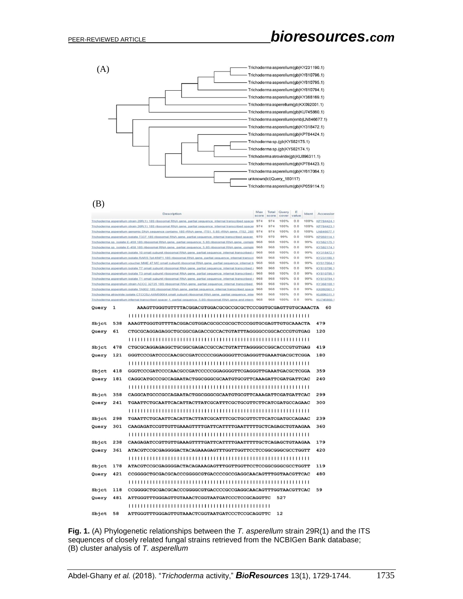

#### (B)

|                                                                                                                                                                                                                                                                                                         | Max<br>score | Total<br>score                                                                                                                                                                                                           | Query<br>cover value | E          | Ident        | Accession      |            |                          |  |  |
|---------------------------------------------------------------------------------------------------------------------------------------------------------------------------------------------------------------------------------------------------------------------------------------------------------|--------------|--------------------------------------------------------------------------------------------------------------------------------------------------------------------------------------------------------------------------|----------------------|------------|--------------|----------------|------------|--------------------------|--|--|
|                                                                                                                                                                                                                                                                                                         |              | Trichoderma asperellum strain 29R(1) 18S ribosomal RNA gene, partial sequence; internal transcribed spacer 974                                                                                                           |                      | 974        | 100%         | 0.0            | 100%       | KP784424.1               |  |  |
|                                                                                                                                                                                                                                                                                                         |              | Trichoderma asperellum strain 26R(1) 18S ribosomal RNA gene, partial sequence; internal transcribed spacer                                                                                                               | 974                  | 974        | 100%         | 0.0            | 100%       | KP784423.1<br>LN846677.1 |  |  |
| Trichoderma asperellum genomic DNA sequence contains 18S rRNA gene, ITS1, 5.8S rRNA gene, ITS2, 28S<br>974<br>974<br>100%<br>0.0<br>100%<br>970<br>970<br>99%<br>0.0<br>100%<br>Trichoderma asperellum isolate T337 18S ribosomal RNA gene, partial sequence; internal transcribed spacer<br>KP059114.1 |              |                                                                                                                                                                                                                          |                      |            |              |                |            |                          |  |  |
| 968<br>968<br>100%<br>0.0<br>99%<br>Trichoderma sp. isolate E-459 18S ribosomal RNA gene, partial sequence; 5.8S ribosomal RNA gene, comple<br>KY582175.1                                                                                                                                               |              |                                                                                                                                                                                                                          |                      |            |              |                |            |                          |  |  |
|                                                                                                                                                                                                                                                                                                         |              | Trichoderma sp. Isolate E-458 18S ribosomal RNA gene, partial sequence: 5.8S ribosomal RNA gene, comple                                                                                                                  | 968                  | 968        | 100%         | 0.0            | 99%        | KY582174.1               |  |  |
|                                                                                                                                                                                                                                                                                                         |              | Trichoderma asperellum isolate 10 small subunit ribosomal RNA gene, partial sequence; internal transcribed s                                                                                                             | 968                  | 968        | 100%         | 0.0            | 99%        | KY318472.1               |  |  |
|                                                                                                                                                                                                                                                                                                         |              | Trichoderma asperellum isolate RARS Tpt-KNP1 18S ribosomal RNA gene, partial sequence; internal transcri                                                                                                                 | 968                  | 968        | 100%         | 0.0            | 99%        | KY231190.1               |  |  |
|                                                                                                                                                                                                                                                                                                         |              | Trichoderma asperellum voucher MHE 47 MC small subunit ribosomal RNA gene, partial sequence; internal tr<br>Trichoderma asperellum isolate T7 small subunit ribosomal RNA gene, partial sequence; internal transcribed : | 968<br>968           | 968<br>968 | 100%<br>100% | 0.0<br>0.0     | 99%<br>99% | KY617064.1<br>KY810796.1 |  |  |
|                                                                                                                                                                                                                                                                                                         |              | Trichoderma asperellum isolate T3 small subunit ribosomal RNA gene, partial sequence; internal transcribed :                                                                                                             | 968                  | 968        | 100%         | 0 <sub>0</sub> | 99%        | KY810795.1               |  |  |
|                                                                                                                                                                                                                                                                                                         |              | Trichoderma asperellum isolate T1 small subunit ribosomal RNA gene, partial sequence; internal transcribed s                                                                                                             | 968                  | 968        | 100%         | 0.0            | 99%        | KY810794.1               |  |  |
|                                                                                                                                                                                                                                                                                                         |              | Trichoderma asperellum strain ACCC 32725 18S ribosomal RNA gene, partial sequence; internal transcribed                                                                                                                  | 968                  | 968        | 100%         | 0.0            | 99%        | KY368169.1               |  |  |
|                                                                                                                                                                                                                                                                                                         |              | Trichoderma asperellum isolate TA002 18S ribosomal RNA gene, partial sequence; internal transcribed space                                                                                                                | 968                  | 968        | 100%         | 0.0            | 99%        | KX092001.1               |  |  |
|                                                                                                                                                                                                                                                                                                         |              | Trichoderma atroviride isolate CTCCSJ-AXM50064 small subunit ribosomal RNA gene, partial sequence; inter<br>Trichoderma asperellum internal transcribed spacer 1, partial sequence; 5.8S ribosomal RNA gene and intern   | 968<br>968           | 968<br>968 | 100%<br>100% | 0.0<br>0.0     | 99%<br>99% | KU896311.1<br>KU745860.1 |  |  |
| Query                                                                                                                                                                                                                                                                                                   |              |                                                                                                                                                                                                                          |                      |            |              | 60             |            |                          |  |  |
|                                                                                                                                                                                                                                                                                                         | ı            | AAAGTTGGGTGTTTTACGGACGTGGACGCGCCCGCCTCCCGGTGCGAGTTGTGCAAACTA                                                                                                                                                             |                      |            |              |                |            |                          |  |  |
| Sbjct                                                                                                                                                                                                                                                                                                   | 538          | AAAGTTGGGTGTTTTACGGACGTGGACGCGCCCGCTCCCGGTGCGAGTTGTGCAAACTA                                                                                                                                                              |                      |            |              |                |            | 479                      |  |  |
| Query                                                                                                                                                                                                                                                                                                   | 61           | CTGCGCAGGAGAGGCTGCGGCGAGACCGCCACTGTATTTAGGGGCCGGCACCCGTGTGAG                                                                                                                                                             |                      |            |              |                |            | 120                      |  |  |
|                                                                                                                                                                                                                                                                                                         |              |                                                                                                                                                                                                                          |                      |            |              |                |            |                          |  |  |
| Sbjct                                                                                                                                                                                                                                                                                                   | 478          | CTGCGCAGGAGAGGCTGCGGCGAGACCGCCACTGTATTTAGGGGCCGGCACCCGTGTGAG                                                                                                                                                             |                      |            |              |                |            | 419                      |  |  |
|                                                                                                                                                                                                                                                                                                         | 121          |                                                                                                                                                                                                                          |                      |            |              |                |            | 180                      |  |  |
| Query                                                                                                                                                                                                                                                                                                   |              | GGGTCCCGATCCCCAACGCCGATCCCCCGGAGGGGTTCGAGGGTTGAAATGACGCTCGGA                                                                                                                                                             |                      |            |              |                |            |                          |  |  |
| Sbict                                                                                                                                                                                                                                                                                                   | 418          | GGGTCCCGATCCCCAACGCCGATCCCCCGGAGGGGTTCGAGGGTTGAAATGACGCTCGGA                                                                                                                                                             |                      |            |              |                |            | 359                      |  |  |
|                                                                                                                                                                                                                                                                                                         |              |                                                                                                                                                                                                                          |                      |            |              |                |            |                          |  |  |
| Query                                                                                                                                                                                                                                                                                                   | 181          | CAGGCATGCCCGCCAGAATACTGGCGGCGCGAATGTGCGTTCAAAGATTCGATGATTCAC                                                                                                                                                             |                      |            |              |                |            | 240                      |  |  |
|                                                                                                                                                                                                                                                                                                         |              |                                                                                                                                                                                                                          |                      |            |              |                |            |                          |  |  |
| Sbjct                                                                                                                                                                                                                                                                                                   | 358          | CAGGCATGCCCGCCAGAATACTGGCGGGCGCAATGTGCGTTCAAAGATTCGATGATTCAC                                                                                                                                                             |                      |            |              |                |            | 299                      |  |  |
| Query                                                                                                                                                                                                                                                                                                   | 241          | TGAATTCTGCAATTCACATTACTTATCGCATTTCGCTGCGTTCTTCATCGATGCCAGAAC                                                                                                                                                             |                      |            |              |                |            | 300                      |  |  |
|                                                                                                                                                                                                                                                                                                         |              |                                                                                                                                                                                                                          |                      |            |              |                |            |                          |  |  |
| Sbjct                                                                                                                                                                                                                                                                                                   | 298          | TGAATTCTGCAATTCACATTACTTATCGCATTTCGCTGCGTTCTTCATCGATGCCAGAAC                                                                                                                                                             |                      |            |              |                |            | 239                      |  |  |
| Query                                                                                                                                                                                                                                                                                                   | 301          | CAAGAGATCCGTTGTTGAAAGTTTTGATTCATTTTGAATTTTGCTCAGAGCTGTAAGAA                                                                                                                                                              |                      |            |              |                |            | 360                      |  |  |
|                                                                                                                                                                                                                                                                                                         |              |                                                                                                                                                                                                                          |                      |            |              |                |            |                          |  |  |
| Sbjct                                                                                                                                                                                                                                                                                                   | 238          | CAAGAGATCCGTTGTTGAAAGTTTTGATTCATTTTGAATTTTTGCTCAGAGCTGTAAGAA                                                                                                                                                             |                      |            |              |                |            | 179                      |  |  |
| Query                                                                                                                                                                                                                                                                                                   | 361          |                                                                                                                                                                                                                          |                      |            |              |                |            | 420                      |  |  |
|                                                                                                                                                                                                                                                                                                         |              |                                                                                                                                                                                                                          |                      |            |              |                |            |                          |  |  |
| Sbjct                                                                                                                                                                                                                                                                                                   | 178          |                                                                                                                                                                                                                          |                      |            |              |                |            | 119                      |  |  |
| Query                                                                                                                                                                                                                                                                                                   | 421          | CCGGGGCCTGCGACGCACCCGGGGCGTGACCCCCCCGAGGCAACAGTTTGGTAACGTTCAC                                                                                                                                                            |                      |            |              |                |            | 480                      |  |  |
|                                                                                                                                                                                                                                                                                                         |              |                                                                                                                                                                                                                          |                      |            |              |                |            |                          |  |  |
| Sbjct                                                                                                                                                                                                                                                                                                   | 118          | CCGGGGCTGCGACGCACCCGGGGCGTGACCCCGCCGAGGCAACAGTTTGGTAACGTTCAC                                                                                                                                                             |                      |            |              |                |            | 59                       |  |  |
| Query                                                                                                                                                                                                                                                                                                   | 481          | ATTGGGTTTGGGAGTTGTAAACTCGGTAATGATCCCTCCGCAGGTTC                                                                                                                                                                          |                      |            | 527          |                |            |                          |  |  |
|                                                                                                                                                                                                                                                                                                         |              |                                                                                                                                                                                                                          |                      |            |              |                |            |                          |  |  |
| Sbjct                                                                                                                                                                                                                                                                                                   | 58           | ATTGGGTTTGGGAGTTGTAAACTCGGTAATGATCCCTCCGCAGGTTC                                                                                                                                                                          |                      |            | 12           |                |            |                          |  |  |

**Fig. 1.** (A) Phylogenetic relationships between the *T. asperellum* strain 29R(1) and the ITS sequences of closely related fungal strains retrieved from the NCBIGen Bank database; (B) cluster analysis of *T. asperellum*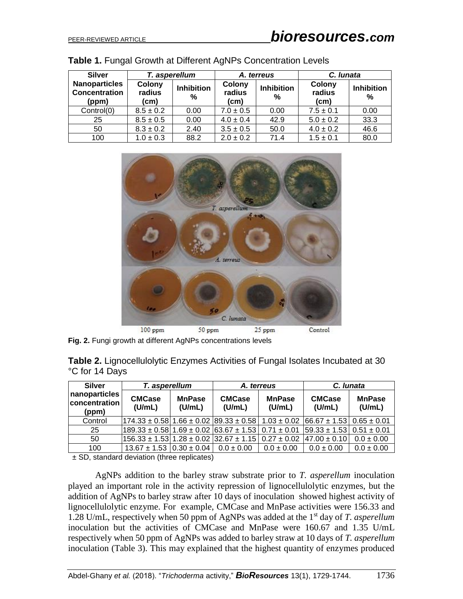| <b>Silver</b>                                         |                          | T. asperellum          |                          | A. terreus             | C. lunata                |                        |  |  |
|-------------------------------------------------------|--------------------------|------------------------|--------------------------|------------------------|--------------------------|------------------------|--|--|
| <b>Nanoparticles</b><br><b>Concentration</b><br>(ppm) | Colony<br>radius<br>(cm) | <b>Inhibition</b><br>% | Colony<br>radius<br>(cm) | <b>Inhibition</b><br>% | Colony<br>radius<br>(cm) | <b>Inhibition</b><br>% |  |  |
| Control(0)                                            | $8.5 \pm 0.2$            | 0.00                   | $7.0 \pm 0.5$            | 0.00                   | $7.5 \pm 0.1$            | 0.00                   |  |  |
| 25                                                    | $8.5 \pm 0.5$            | 0.00                   | $4.0 \pm 0.4$            | 42.9                   | $5.0 \pm 0.2$            | 33.3                   |  |  |
| 50                                                    | $8.3 \pm 0.2$            | 2.40                   | $3.5 \pm 0.5$            | 50.0                   | $4.0 \pm 0.2$            | 46.6                   |  |  |
| 100                                                   | $1.0 \pm 0.3$            | 88.2                   | $2.0 \pm 0.2$            | 71.4                   | $1.5 \pm 0.1$            | 80.0                   |  |  |

|  |  | Table 1. Fungal Growth at Different AgNPs Concentration Levels |  |
|--|--|----------------------------------------------------------------|--|
|  |  |                                                                |  |



**Fig. 2.** Fungi growth at different AgNPs concentrations levels

| <b>Table 2.</b> Lignocellulolytic Enzymes Activities of Fungal Isolates Incubated at 30 |  |  |  |
|-----------------------------------------------------------------------------------------|--|--|--|
| °C for 14 Days                                                                          |  |  |  |

| <b>Silver</b>                           | T. asperellum                                                                               |                         | A. terreus              |                         | C. lunata                        |                         |
|-----------------------------------------|---------------------------------------------------------------------------------------------|-------------------------|-------------------------|-------------------------|----------------------------------|-------------------------|
| nanoparticles<br>concentration<br>(ppm) | <b>CMCase</b><br>(U/mL)                                                                     | <b>MnPase</b><br>(U/mL) | <b>CMCase</b><br>(U/mL) | <b>MnPase</b><br>(U/mL) | <b>CMCase</b><br>(U/mL)          | <b>MnPase</b><br>(U/mL) |
| Control                                 | $ 174.33 \pm 0.58 1.66 \pm 0.02 89.33 \pm 0.58 1.03 \pm 0.02 66.67 \pm 1.53 0.65 \pm 0.01$  |                         |                         |                         |                                  |                         |
| 25                                      | $ 189.33 \pm 0.58 1.69 \pm 0.02 63.67 \pm 1.53 0.71 \pm 0.01$                               |                         |                         |                         | $ 59.33 \pm 1.53  0.51 \pm 0.01$ |                         |
| 50                                      | $156.33 \pm 1.53$   1.28 $\pm$ 0.02   32.67 $\pm$ 1.15   0.27 $\pm$ 0.02   47.00 $\pm$ 0.10 |                         |                         |                         |                                  | $0.0 \pm 0.00$          |
| 100                                     | $13.67 \pm 1.53 \cdot 0.30 \pm 0.04$                                                        |                         | $0.0 \pm 0.00$          | $0.0 \pm 0.00$          | $0.0 \pm 0.00$                   | $0.0 \pm 0.00$          |

± SD, standard deviation (three replicates)

AgNPs addition to the barley straw substrate prior to *T. asperellum* inoculation played an important role in the activity repression of lignocellulolytic enzymes, but the addition of AgNPs to barley straw after 10 days of inoculation showed highest activity of lignocellulolytic enzyme. For example, CMCase and MnPase activities were 156.33 and 1.28 U/mL, respectively when 50 ppm of AgNPs was added at the 1st day of *T. asperellum* inoculation but the activities of CMCase and MnPase were 160.67 and 1.35 U/mL respectively when 50 ppm of AgNPs was added to barley straw at 10 days of *T. asperellum* inoculation (Table 3). This may explained that the highest quantity of enzymes produced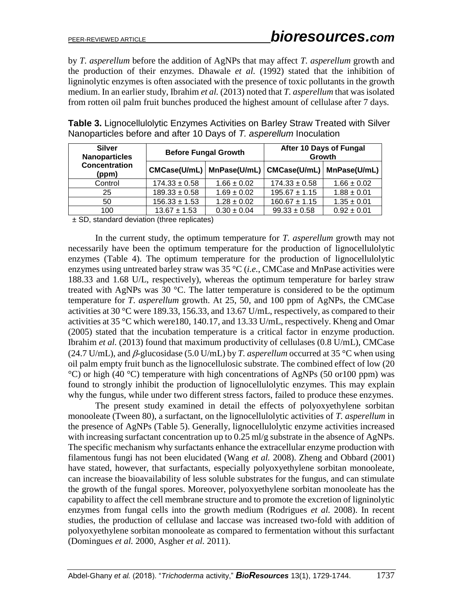by *T. asperellum* before the addition of AgNPs that may affect *T. asperellum* growth and the production of their enzymes. Dhawale *et al.* (1992) stated that the inhibition of ligninolytic enzymes is often associated with the presence of toxic pollutants in the growth medium. In an earlier study, Ibrahim *et al.* (2013) noted that *T. asperellum* that was isolated from rotten oil palm fruit bunches produced the highest amount of cellulase after 7 days.

| <b>Silver</b><br><b>Nanoparticles</b> |                   | <b>Before Fungal Growth</b>                               | After 10 Days of Fungal<br>Growth |                 |  |
|---------------------------------------|-------------------|-----------------------------------------------------------|-----------------------------------|-----------------|--|
| <b>Concentration</b><br>(ppm)         |                   | CMCase(U/mL)   MnPase(U/mL)   CMCase(U/mL)   MnPase(U/mL) |                                   |                 |  |
| Control                               | $174.33 \pm 0.58$ | $1.66 \pm 0.02$                                           | $174.33 \pm 0.58$                 | $1.66 \pm 0.02$ |  |
| 25                                    | $189.33 \pm 0.58$ | $1.69 \pm 0.02$                                           | $195.67 \pm 1.15$                 | $1.88 \pm 0.01$ |  |
| 50                                    | $156.33 \pm 1.53$ | $1.28 \pm 0.02$                                           | $160.67 \pm 1.15$                 | $1.35 \pm 0.01$ |  |
| 100                                   | $13.67 \pm 1.53$  | $0.30 \pm 0.04$                                           | $99.33 \pm 0.58$                  | $0.92 \pm 0.01$ |  |

**Table 3.** Lignocellulolytic Enzymes Activities on Barley Straw Treated with Silver Nanoparticles before and after 10 Days of *T. asperellum* Inoculation

± SD, standard deviation (three replicates)

In the current study, the optimum temperature for *T. asperellum* growth may not necessarily have been the optimum temperature for the production of lignocellulolytic enzymes (Table 4). The optimum temperature for the production of lignocellulolytic enzymes using untreated barley straw was 35 °C (*i.e.*, CMCase and MnPase activities were 188.33 and 1.68 U/L, respectively), whereas the optimum temperature for barley straw treated with AgNPs was 30 °C. The latter temperature is considered to be the optimum temperature for *T*. *asperellum* growth. At 25, 50, and 100 ppm of AgNPs, the CMCase activities at 30 °C were 189.33, 156.33, and 13.67 U/mL, respectively, as compared to their activities at 35 °C which were180, 140.17, and 13.33 U/mL, respectively. Kheng and Omar (2005) stated that the incubation temperature is a critical factor in enzyme production. Ibrahim *et al.* (2013) found that maximum productivity of cellulases (0.8 U/mL), CMCase (24.7 U/mL), and  $\beta$ -glucosidase (5.0 U/mL) by *T. asperellum* occurred at 35 °C when using oil palm empty fruit bunch as the lignocellulosic substrate. The combined effect of low (20  $^{\circ}$ C) or high (40  $^{\circ}$ C) temperature with high concentrations of AgNPs (50 or 100 ppm) was found to strongly inhibit the production of lignocellulolytic enzymes. This may explain why the fungus, while under two different stress factors, failed to produce these enzymes.

The present study examined in detail the effects of polyoxyethylene sorbitan monooleate (Tween 80), a surfactant, on the lignocellulolytic activities of *T. asperellum* in the presence of AgNPs (Table 5). Generally, lignocellulolytic enzyme activities increased with increasing surfactant concentration up to 0.25 ml/g substrate in the absence of AgNPs. The specific mechanism why surfactants enhance the extracellular enzyme production with filamentous fungi has not been elucidated (Wang *et al.* 2008). Zheng and Obbard (2001) have stated, however, that surfactants, especially polyoxyethylene sorbitan monooleate, can increase the bioavailability of less soluble substrates for the fungus, and can stimulate the growth of the fungal spores. Moreover, polyoxyethylene sorbitan monooleate has the capability to affect the cell membrane structure and to promote the excretion of ligninolytic enzymes from fungal cells into the growth medium (Rodrigues *et al.* 2008). In recent studies, the production of cellulase and laccase was increased two-fold with addition of polyoxyethylene sorbitan monooleate as compared to fermentation without this surfactant (Domingues *et al.* 2000, Asgher *et al.* 2011).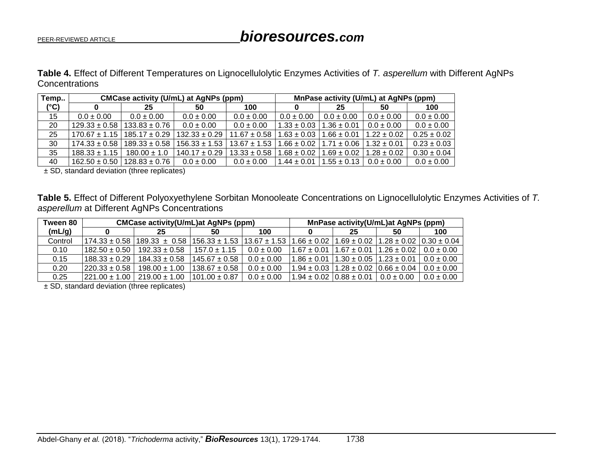**Table 4.** Effect of Different Temperatures on Lignocellulolytic Enzymes Activities of *T. asperellum* with Different AgNPs **Concentrations** 

| Temp          | CMCase activity (U/mL) at AgNPs (ppm) | MnPase activity (U/mL) at AgNPs (ppm) |                   |                  |                 |                                   |                 |                 |
|---------------|---------------------------------------|---------------------------------------|-------------------|------------------|-----------------|-----------------------------------|-----------------|-----------------|
| $(^{\circ}C)$ |                                       | 25                                    | 50                | 100              |                 | 25                                | 50              | 100             |
| 15            | $0.0 \pm 0.00$                        | $0.0 \pm 0.00$                        | $0.0 \pm 0.00$    | $0.0 \pm 0.00$   | $0.0 \pm 0.00$  | $0.0 \pm 0.00$                    | $0.0 \pm 0.00$  | $0.0 \pm 0.00$  |
| 20            | $129.33 \pm 0.58$                     | $133.83 \pm 0.76$                     | $0.0 \pm 0.00$    | $0.0 \pm 0.00$   | $1.33 \pm 0.03$ | $1.36 \pm 0.01$                   | $0.0 \pm 0.00$  | $0.0 \pm 0.00$  |
| 25            |                                       | $170.67 \pm 1.15$   185.17 $\pm$ 0.29 | $132.33 \pm 0.29$ | $11.67 \pm 0.58$ | $1.63 \pm 0.03$ | $1.66 \pm 0.01$                   | $1.22 \pm 0.02$ | $0.25 \pm 0.02$ |
| 30            | $174.33 \pm 0.58$                     | $189.33 \pm 0.58$                     | $156.33 \pm 1.53$ | $13.67 \pm 1.53$ | $1.66 \pm 0.02$ | $1.71 \pm 0.06$   1.32 $\pm$ 0.01 |                 | $0.23 \pm 0.03$ |
| 35            | $188.33 \pm 1.15$                     | $180.00 \pm 1.0$                      | $140.17 \pm 0.29$ | $13.33 \pm 0.58$ | $1.68 \pm 0.02$ | $1.69 \pm 0.02$                   | $1.28 \pm 0.02$ | $0.30 \pm 0.04$ |
| 40            | $162.50 \pm 0.50$                     | $128.83 \pm 0.76$                     | $0.0 \pm 0.00$    | $0.0 \pm 0.00$   | $1.44 \pm 0.01$ | $1.55 \pm 0.13$                   | $0.0 \pm 0.00$  | $0.0 \pm 0.00$  |

± SD, standard deviation (three replicates)

**Table 5.** Effect of Different Polyoxyethylene Sorbitan Monooleate Concentrations on Lignocellulolytic Enzymes Activities of *T. asperellum* at Different AgNPs Concentrations

| <b>CMCase activity(U/mL)at AgNPs (ppm)</b> |                   |                   |                   | MnPase activity(U/mL)at AgNPs (ppm)  |                 |                                                     |                                                                                                                              |
|--------------------------------------------|-------------------|-------------------|-------------------|--------------------------------------|-----------------|-----------------------------------------------------|------------------------------------------------------------------------------------------------------------------------------|
|                                            | 25                | 50                | 100               |                                      | 25              | 50                                                  | 100                                                                                                                          |
| $174.33 \pm 0.58$                          |                   |                   |                   | $1.66 \pm 0.02$                      |                 |                                                     |                                                                                                                              |
| $182.50 \pm 0.50$                          | $192.33 \pm 0.58$ | $157.0 \pm 1.15$  | $0.0 \pm 0.00$    | $1.67 \pm 0.01$                      | $1.67 \pm 0.01$ | $1.26 \pm 0.02$                                     | $0.0 \pm 0.00$                                                                                                               |
| $188.33 \pm 0.29$                          | $184.33 \pm 0.58$ | $145.67 \pm 0.58$ | $0.0 \pm 0.00$    | $1.86 \pm 0.01$                      |                 |                                                     | $0.0 \pm 0.00$                                                                                                               |
| $1220.33 \pm 0.58$                         | $198.00 \pm 1.00$ |                   | $0.0 \pm 0.00$    |                                      |                 |                                                     | $0.0 \pm 0.00$                                                                                                               |
| $1221.00 + 1.00$                           | $219.00 \pm 1.00$ | $101.00 \pm 0.87$ | $0.0 \pm 0.00$    |                                      |                 | $0.0 \pm 0.00$                                      | $0.0 \pm 0.00$                                                                                                               |
|                                            |                   | $189.33 \pm 0.58$ | $138.67 \pm 0.58$ | $156.33 \pm 1.53$   13.67 $\pm$ 1.53 |                 | $1.94 \pm 0.03$<br>$1.94 \pm 0.02$ $10.88 \pm 0.01$ | $1.69 \pm 0.02$<br>$1.28 \pm 0.02$ $ 0.30 \pm 0.04$<br>$1.23 \pm 0.01$<br>$1.30 \pm 0.05$<br>$1.28 \pm 0.02$ 0.66 $\pm$ 0.04 |

± SD, standard deviation (three replicates)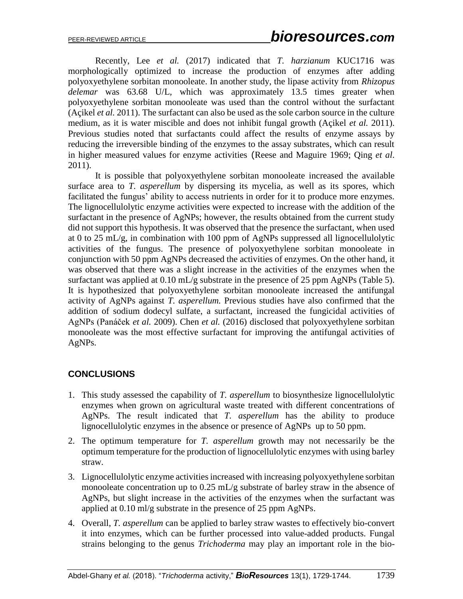Recently, Lee *et al.* (2017) indicated that *T. harzianum* KUC1716 was morphologically optimized to increase the production of enzymes after adding polyoxyethylene sorbitan monooleate. In another study, the lipase activity from *Rhizopus delemar* was 63.68 U/L*,* which was approximately 13.5 times greater when polyoxyethylene sorbitan monooleate was used than the control without the surfactant (Açikel *et al.* 2011). The surfactant can also be used as the sole carbon source in the culture medium, as it is water miscible and does not inhibit fungal growth (Açikel *et al.* 2011). Previous studies noted that surfactants could affect the results of enzyme assays by reducing the irreversible binding of the enzymes to the assay substrates, which can result in higher measured values for enzyme activities (Reese and Maguire 1969; Qing *et al*. 2011).

It is possible that polyoxyethylene sorbitan monooleate increased the available surface area to *T. asperellum* by dispersing its mycelia, as well as its spores, which facilitated the fungus' ability to access nutrients in order for it to produce more enzymes. The lignocellulolytic enzyme activities were expected to increase with the addition of the surfactant in the presence of AgNPs; however, the results obtained from the current study did not support this hypothesis. It was observed that the presence the surfactant, when used at 0 to 25 mL/g, in combination with 100 ppm of AgNPs suppressed all lignocellulolytic activities of the fungus. The presence of polyoxyethylene sorbitan monooleate in conjunction with 50 ppm AgNPs decreased the activities of enzymes. On the other hand, it was observed that there was a slight increase in the activities of the enzymes when the surfactant was applied at  $0.10$  mL/g substrate in the presence of 25 ppm AgNPs (Table 5). It is hypothesized that polyoxyethylene sorbitan monooleate increased the antifungal activity of AgNPs against *T. asperellum.* Previous studies have also confirmed that the addition of sodium dodecyl sulfate, a surfactant, increased the fungicidal activities of AgNPs (Panáček *et al.* 2009). Chen *et al.* (2016) disclosed that polyoxyethylene sorbitan monooleate was the most effective surfactant for improving the antifungal activities of AgNPs.

# **CONCLUSIONS**

- 1. This study assessed the capability of *T. asperellum* to biosynthesize lignocellulolytic enzymes when grown on agricultural waste treated with different concentrations of AgNPs. The result indicated that *T. asperellum* has the ability to produce lignocellulolytic enzymes in the absence or presence of AgNPs up to 50 ppm.
- 2. The optimum temperature for *T. asperellum* growth may not necessarily be the optimum temperature for the production of lignocellulolytic enzymes with using barley straw.
- 3. Lignocellulolytic enzyme activities increased with increasing polyoxyethylene sorbitan monooleate concentration up to 0.25 mL/g substrate of barley straw in the absence of AgNPs, but slight increase in the activities of the enzymes when the surfactant was applied at 0.10 ml/g substrate in the presence of 25 ppm AgNPs.
- 4. Overall, *T. asperellum* can be applied to barley straw wastes to effectively bio-convert it into enzymes, which can be further processed into value-added products. Fungal strains belonging to the genus *Trichoderma* may play an important role in the bio-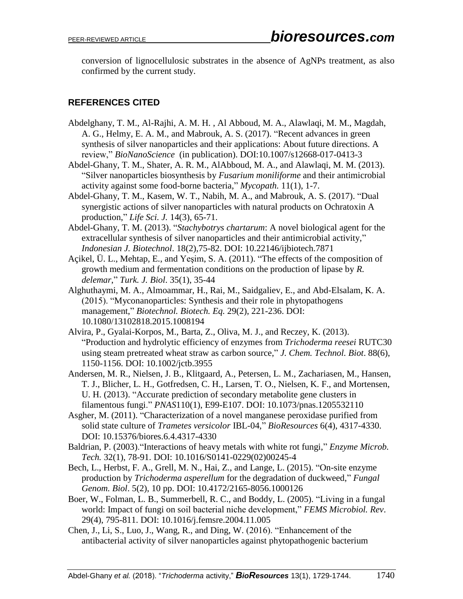conversion of lignocellulosic substrates in the absence of AgNPs treatment, as also confirmed by the current study.

# **REFERENCES CITED**

- Abdelghany, T. M., Al-Rajhi, A. M. H. , Al Abboud, M. A., Alawlaqi, M. M., Magdah, A. G., Helmy, E. A. M., and Mabrouk, A. S. (2017). "Recent advances in green synthesis of silver nanoparticles and their applications: About future directions. A review," *BioNanoScience* (in publication). DOI:10.1007/s12668-017-0413-3
- Abdel-Ghany, T. M., Shater, A. R. M., AlAbboud, M. A., and Alawlaqi, M. M. (2013). "Silver nanoparticles biosynthesis by *Fusarium moniliforme* and their antimicrobial activity against some food-borne bacteria," *Mycopath.* 11(1), 1-7.
- Abdel-Ghany, T. M., Kasem, W. T., Nabih, M. A., and Mabrouk, A. S. (2017). "Dual synergistic actions of silver nanoparticles with natural products on Ochratoxin A production," *Life Sci. J.* 14(3), 65-71.
- Abdel-Ghany, T. M. (2013). "*Stachybotrys chartarum*: A novel biological agent for the extracellular synthesis of silver nanoparticles and their antimicrobial activity," *Indonesian J. Biotechnol*. 18(2),75-82. DOI: 10.22146/ijbiotech.7871
- Açikel, Ü. L., Mehtap, E., and Yeşim, S. A. (2011). "The effects of the composition of growth medium and fermentation conditions on the production of lipase by *R. delemar*," *Turk. J. Biol*. 35(1), 35-44
- Alghuthaymi, M. A., Almoammar, H., Rai, M., Saidgaliev, E., and Abd-Elsalam, K. A. (2015). "Myconanoparticles: Synthesis and their role in phytopathogens management," *Biotechnol. Biotech. Eq.* 29(2), 221-236. DOI: 10.1080/13102818.2015.1008194
- Alvira, P., Gyalai-Korpos, M., Barta, Z., Oliva, M. J., and Reczey, K. (2013). "Production and hydrolytic efficiency of enzymes from *Trichoderma reesei* RUTC30 using steam pretreated wheat straw as carbon source," *J. Chem. Technol. Biot*. 88(6), 1150-1156. DOI: 10.1002/jctb.3955
- Andersen, M. R., Nielsen, J. B., Klitgaard, A., Petersen, L. M., Zachariasen, M., Hansen, T. J., Blicher, L. H., Gotfredsen, C. H., Larsen, T. O., Nielsen, K. F., and Mortensen, U. H. (2013). "Accurate prediction of secondary metabolite gene clusters in filamentous fungi." *PNAS*110(1), E99-E107. DOI: 10.1073/pnas.1205532110
- Asgher, M. (2011). "Characterization of a novel manganese peroxidase purified from solid state culture of *Trametes versicolor* IBL-04," *BioResources* 6(4), 4317-4330. DOI: 10.15376/biores.6.4.4317-4330
- Baldrian, P. (2003)."Interactions of heavy metals with white rot fungi," *Enzyme Microb. Tech.* 32(1), 78-91. DOI: 10.1016/S0141-0229(02)00245-4
- Bech, L., Herbst, F. A., Grell, M. N., Hai, Z., and Lange, L. (2015). "On-site enzyme production by *Trichoderma asperellum* for the degradation of duckweed," *Fungal Genom. Biol*. 5(2), 10 pp. DOI: 10.4172/2165-8056.1000126
- Boer, W., Folman, L. B., Summerbell, R. C., and Boddy, L. (2005). "Living in a fungal world: Impact of fungi on soil bacterial niche development," *FEMS Microbiol. Rev*. 29(4), 795-811. DOI: 10.1016/j.femsre.2004.11.005
- Chen, J., Li, S., Luo, J., Wang, R., and Ding, W. (2016). "Enhancement of the antibacterial activity of silver nanoparticles against phytopathogenic bacterium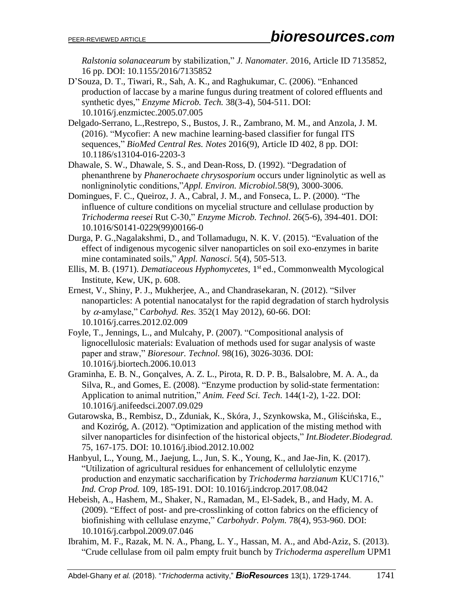*Ralstonia solanacearum* by stabilization," *J. Nanomater.* 2016, Article ID 7135852, 16 pp. DOI: 10.1155/2016/7135852

- D'Souza, D. T., Tiwari, R., Sah, A. K., and Raghukumar, C. (2006). "Enhanced production of laccase by a marine fungus during treatment of colored effluents and synthetic dyes," *Enzyme Microb. Tech.* 38(3-4), 504-511. DOI: 10.1016/j.enzmictec.2005.07.005
- Delgado-Serrano, L.,Restrepo, S., Bustos, J. R., Zambrano, M. M., and Anzola, J. M. (2016). "Mycofier: A new machine learning-based classifier for fungal ITS sequences," *BioMed Central Res. Notes* 2016(9), Article ID 402, 8 pp. DOI: 10.1186/s13104-016-2203-3
- Dhawale, S. W., Dhawale, S. S., and Dean-Ross, D. (1992). "Degradation of phenanthrene by *Phanerochaete chrysosporium* occurs under ligninolytic as well as nonligninolytic conditions,"*Appl. Environ. Microbiol.*58(9), 3000-3006.
- Domingues, F. C., Queiroz, J. A., Cabral, J. M., and Fonseca, L. P. (2000). "The influence of culture conditions on mycelial structure and cellulase production by *Trichoderma reesei* Rut C-30," *Enzyme Microb. Technol*. 26(5-6), 394-401. DOI: 10.1016/S0141-0229(99)00166-0
- Durga, P. G.,Nagalakshmi, D., and Tollamadugu, N. K. V. (2015). "Evaluation of the effect of indigenous mycogenic silver nanoparticles on soil exo-enzymes in barite mine contaminated soils," *Appl. Nanosci.* 5(4), 505-513.
- Ellis, M. B. (1971). *Dematiaceous Hyphomycetes*, 1 st ed., Commonwealth Mycological Institute, Kew, UK, p. 608.
- Ernest, V., Shiny, P. J., Mukherjee, A., and Chandrasekaran, N. (2012). "Silver nanoparticles: A potential nanocatalyst for the rapid degradation of starch hydrolysis by α-amylase," Carbohyd. Res. 352(1 May 2012), 60-66. DOI: 10.1016/j.carres.2012.02.009
- Foyle, T., Jennings, L., and Mulcahy, P. (2007). "Compositional analysis of lignocellulosic materials: Evaluation of methods used for sugar analysis of waste paper and straw," *Bioresour. Technol.* 98(16), 3026-3036. DOI: 10.1016/j.biortech.2006.10.013
- Graminha, E. B. N., Gonçalves, A. Z. L., Pirota, R. D. P. B., Balsalobre, M. A. A., da Silva, R., and Gomes, E. (2008). "Enzyme production by solid-state fermentation: Application to animal nutrition," *Anim. Feed Sci. Tech*. 144(1-2), 1-22. DOI: 10.1016/j.anifeedsci.2007.09.029
- Gutarowska, B., Rembisz, D., Zduniak, K., Skóra, J., Szynkowska, M., Gliścińska, E., and Koziróg, A. (2012). "Optimization and application of the misting method with silver nanoparticles for disinfection of the historical objects," *Int.Biodeter.Biodegrad.* 75, 167-175. DOI: 10.1016/j.ibiod.2012.10.002
- Hanbyul, L., Young, M., Jaejung, L., Jun, S. K., Young, K., and Jae-Jin, K. (2017). "Utilization of agricultural residues for enhancement of cellulolytic enzyme production and enzymatic saccharification by *Trichoderma harzianum* KUC1716," *Ind. Crop Prod.* 109, 185-191. DOI: 10.1016/j.indcrop.2017.08.042
- Hebeish, A., Hashem, M., Shaker, N., Ramadan, M., El-Sadek, B., and Hady, M. A. (2009). "Effect of post- and pre-crosslinking of cotton fabrics on the efficiency of biofinishing with cellulase enzyme," *Carbohydr. Polym.* 78(4), 953-960. DOI: 10.1016/j.carbpol.2009.07.046
- Ibrahim, M. F., Razak, M. N. A., Phang, L. Y., Hassan, M. A., and Abd-Aziz, S. (2013). "Crude cellulase from oil palm empty fruit bunch by *Trichoderma asperellum* UPM1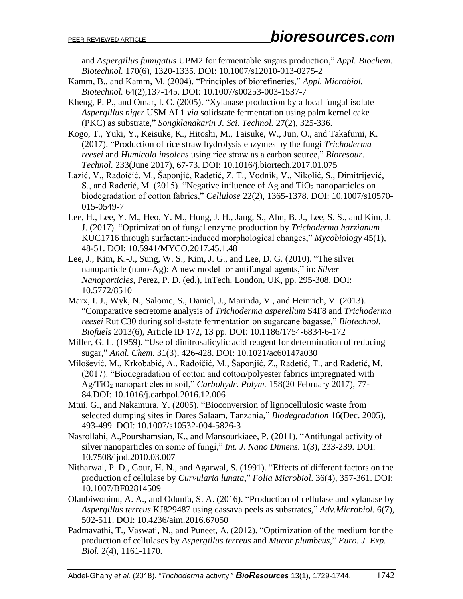and *Aspergillus fumigatus* UPM2 for fermentable sugars production," *Appl. Biochem. Biotechnol.* 170(6), 1320-1335. DOI: 10.1007/s12010-013-0275-2

- Kamm, B., and Kamm, M. (2004). "Principles of biorefineries," *Appl. Microbiol. Biotechnol.* 64(2),137-145. DOI: 10.1007/s00253-003-1537-7
- Kheng, P. P., and Omar, I. C. (2005). "Xylanase production by a local fungal isolate *Aspergillus niger* USM AI 1 *via* solidstate fermentation using palm kernel cake (PKC) as substrate," *Songklanakarin J. Sci. Technol.* 27(2), 325-336.
- Kogo, T., Yuki, Y., Keisuke, K., Hitoshi, M., Taisuke, W., Jun, O., and Takafumi, K. (2017). "Production of rice straw hydrolysis enzymes by the fungi *Trichoderma reesei* and *Humicola insolens* using rice straw as a carbon source," *Bioresour. Technol.* 233(June 2017), 67-73. DOI: 10.1016/j.biortech.2017.01.075
- Lazić, V., Radoičić, M., Šaponjić, Radetić, Z. T., Vodnik, V., Nikolić, S., Dimitrijević, S., and Radetić, M. (2015). "Negative influence of Ag and TiO<sup>2</sup> nanoparticles on biodegradation of cotton fabrics," *Cellulose* 22(2), 1365-1378. DOI: 10.1007/s10570- 015-0549-7
- Lee, H., Lee, Y. M., Heo, Y. M., Hong, J. H., Jang, S., Ahn, B. J., Lee, S. S., and Kim, J. J. (2017). "Optimization of fungal enzyme production by *Trichoderma harzianum* KUC1716 through surfactant-induced morphological changes," *Mycobiology* 45(1), 48-51. DOI: 10.5941/MYCO.2017.45.1.48
- Lee, J., Kim, K.-J., Sung, W. S., Kim, J. G., and Lee, D. G. (2010). "The silver nanoparticle (nano-Ag): A new model for antifungal agents," in: *Silver Nanoparticles*, Perez, P. D. (ed.), InTech, London, UK, pp. 295-308. DOI: 10.5772/8510
- Marx, I. J., Wyk, N., Salome, S., Daniel, J., Marinda, V., and Heinrich, V. (2013). "Comparative secretome analysis of *Trichoderma asperellum* S4F8 and *Trichoderma reesei* Rut C30 during solid-state fermentation on sugarcane bagasse," *Biotechnol. Biofuels* 2013(6), Article ID 172, 13 pp. DOI: 10.1186/1754-6834-6-172
- Miller, G. L. (1959). "Use of dinitrosalicylic acid reagent for determination of reducing sugar," *Anal. Chem.* 31(3), 426-428. DOI: 10.1021/ac60147a030
- Milošević, M., Krkobabić, A., Radoičić, M., Šaponjić, Z., Radetić, T., and Radetić, M. (2017). "Biodegradation of cotton and cotton/polyester fabrics impregnated with Ag/TiO<sup>2</sup> nanoparticles in soil," *Carbohydr. Polym.* 158(20 February 2017), 77- 84.DOI: 10.1016/j.carbpol.2016.12.006
- Mtui, G., and Nakamura, Y. (2005). "Bioconversion of lignocellulosic waste from selected dumping sites in Dares Salaam, Tanzania," *Biodegradation* 16(Dec. 2005), 493-499. DOI: 10.1007/s10532-004-5826-3
- Nasrollahi, A.,Pourshamsian, K., and Mansourkiaee, P. (2011). "Antifungal activity of silver nanoparticles on some of fungi," *Int. J. Nano Dimens.* 1(3), 233-239. DOI: 10.7508/ijnd.2010.03.007
- Nitharwal, P. D., Gour, H. N., and Agarwal, S. (1991). "Effects of different factors on the production of cellulase by *Curvularia lunata*," *Folia Microbiol*. 36(4), 357-361. DOI: 10.1007/BF02814509
- Olanbiwoninu, A. A., and Odunfa, S. A. (2016). "Production of cellulase and xylanase by *Aspergillus terreus* KJ829487 using cassava peels as substrates," *Adv.Microbiol.* 6(7), 502-511. DOI: 10.4236/aim.2016.67050
- Padmavathi, T., Vaswati, N., and Puneet, A. (2012). "Optimization of the medium for the production of cellulases by *Aspergillus terreus* and *Mucor plumbeus*," *Euro. J. Exp. Biol.* 2(4), 1161-1170.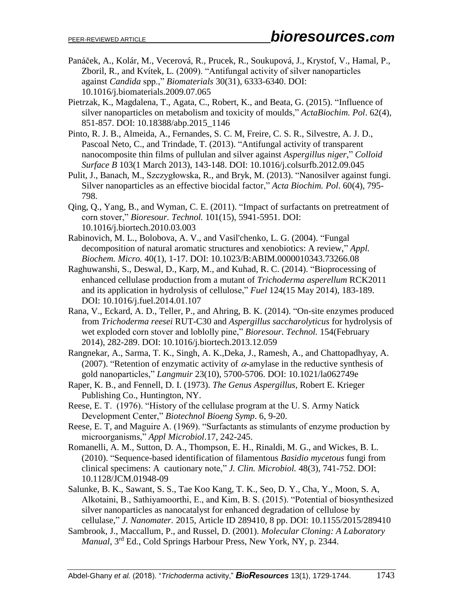- Panáček, A., Kolár, M., Vecerová, R., Prucek, R., Soukupová, J., Krystof, V., Hamal, P., Zboril, R., and Kvítek, L. (2009). "Antifungal activity of silver nanoparticles against *Candida* spp.," *Biomaterials* 30(31), 6333-6340. DOI: 10.1016/j.biomaterials.2009.07.065
- Pietrzak, K., Magdalena, T., Agata, C., Robert, K., and Beata, G. (2015). "Influence of silver nanoparticles on metabolism and toxicity of moulds," *ActaBiochim. Pol*. 62(4), 851-857. DOI: 10.18388/abp.2015\_1146
- Pinto, R. J. B., Almeida, A., Fernandes, S. C. M, Freire, C. S. R., Silvestre, A. J. D., Pascoal Neto, C., and Trindade, T. (2013). "Antifungal activity of transparent nanocomposite thin films of pullulan and silver against *Aspergillus niger*," *Colloid Surface B* 103(1 March 2013), 143-148. DOI: 10.1016/j.colsurfb.2012.09.045
- Pulit, J., Banach, M., Szczygłowska, R., and Bryk, M. (2013). "Nanosilver against fungi. Silver nanoparticles as an effective biocidal factor," *Acta Biochim. Pol*. 60(4), 795- 798.
- Qing, Q., Yang, B., and Wyman, C. E. (2011). "Impact of surfactants on pretreatment of corn stover," *Bioresour. Technol.* 101(15), 5941-5951. DOI: 10.1016/j.biortech.2010.03.003
- Rabinovich, M. L., Bolobova, A. V., and Vasil'chenko, L. G. (2004). "Fungal decomposition of natural aromatic structures and xenobiotics: A review," *Appl. Biochem. Micro.* 40(1), 1-17. DOI: 10.1023/B:ABIM.0000010343.73266.08
- Raghuwanshi, S., Deswal, D., Karp, M., and Kuhad, R. C. (2014). "Bioprocessing of enhanced cellulase production from a mutant of *Trichoderma asperellum* RCK2011 and its application in hydrolysis of cellulose," *Fuel* 124(15 May 2014), 183-189. DOI: 10.1016/j.fuel.2014.01.107
- Rana, V., Eckard, A. D., Teller, P., and Ahring, B. K. (2014). "On-site enzymes produced from *Trichoderma reesei* RUT-C30 and *Aspergillus saccharolyticus* for hydrolysis of wet exploded corn stover and loblolly pine," *Bioresour. Technol.* 154(February 2014), 282-289. DOI: 10.1016/j.biortech.2013.12.059
- Rangnekar, A., Sarma, T. K., Singh, A. K.,Deka, J., Ramesh, A., and Chattopadhyay, A. (2007). "Retention of enzymatic activity of  $\alpha$ -amylase in the reductive synthesis of gold nanoparticles," *Langmuir* 23(10), 5700-5706. DOI: 10.1021/la062749e
- Raper, K. B., and Fennell, D. I. (1973). *The Genus Aspergillus*, Robert E. Krieger Publishing Co., Huntington, NY.
- Reese, E. T. (1976). "History of the cellulase program at the U. S. Army Natick Development Center," *Biotechnol Bioeng Symp*. 6, 9-20.
- Reese, E. T, and Maguire A. (1969). "Surfactants as stimulants of enzyme production by microorganisms," *Appl Microbiol*.17, 242-245.
- Romanelli, A. M., Sutton, D. A., Thompson, E. H., Rinaldi, M. G., and Wickes, B. L. (2010). "Sequence-based identification of filamentous *Basidio mycetous* fungi from clinical specimens: A cautionary note," *J. Clin. Microbiol.* 48(3), 741-752. DOI: 10.1128/JCM.01948-09
- Salunke, B. K., Sawant, S. S., Tae Koo Kang, T. K., Seo, D. Y., Cha, Y., Moon, S. A, Alkotaini, B., Sathiyamoorthi, E., and Kim, B. S. (2015). "Potential of biosynthesized silver nanoparticles as nanocatalyst for enhanced degradation of cellulose by cellulase," *J. Nanomater.* 2015, Article ID 289410, 8 pp. DOI: 10.1155/2015/289410
- Sambrook, J., Maccallum, P., and Russel, D. (2001). *Molecular Cloning: A Laboratory*  Manual, 3<sup>rd</sup> Ed., Cold Springs Harbour Press, New York, NY, p. 2344.